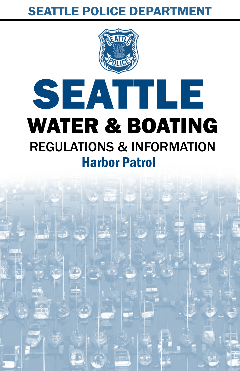### SEATTLE POLICE DEPARTMENT

# SEATTLE WATER & BOATING REGULATIONS & INFORMATION Harbor Patrol

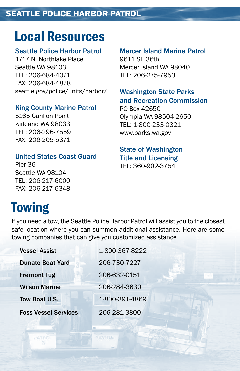## Local Resources

#### Seattle Police Harbor Patrol

1717 N. Northlake Place Seattle WA 98103 TEL: 206-684-4071 FAX: 206-684-4878 seattle.gov/police/units/harbor/

#### King County Marine Patrol

5165 Carillon Point Kirkland WA 98033 TEL: 206-296-7559 FAX: 206-205-5371

#### United States Coast Guard

Pier 36 Seattle WA 98104 TEL: 206-217-6000 FAX: 206-217-6348

#### Mercer Island Marine Patrol 9611 SE 36th Mercer Island WA 98040

#### Washington State Parks and Recreation Commission

PO Box 42650 Olympia WA 98504-2650 TEL: 1-800-233-0321 www.parks.wa.gov

TEL: 206-275-7953

#### State of Washington Title and Licensing TEL: 360-902-3754

# **Towing**

If you need a tow, the Seattle Police Harbor Patrol will assist you to the closest safe location where you can summon additional assistance. Here are some towing companies that can give you customized assistance.

| <b>Vessel Assist</b>        | 1-800-367-8222 |
|-----------------------------|----------------|
| <b>Dunato Boat Yard</b>     | 206-730-7227   |
| <b>Fremont Tug</b>          | 206-632-0151   |
| <b>Wilson Marine</b>        | 206-284-3630   |
| Tow Boat U.S.               | 1-800-391-4869 |
| <b>Foss Vessel Services</b> | 206-281-3800   |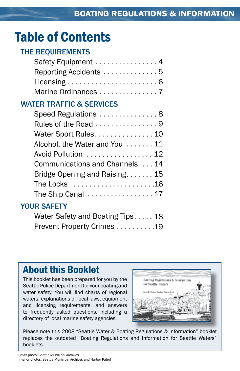# Table of Contents

### THE REQUIREMENTS

| Safety Equipment 4                                             |
|----------------------------------------------------------------|
| Reporting Accidents 5                                          |
| Licensing $\ldots \ldots \ldots \ldots \ldots \ldots \ldots 6$ |
| Marine Ordinances  7                                           |
| <b>WATER TRAFFIC &amp; SERVICES</b>                            |
| Speed Regulations  8                                           |
| Rules of the Road 9                                            |
| Water Sport Rules 10                                           |
| Alcohol, the Water and You 11                                  |
| Avoid Pollution  12                                            |
| Communications and Channels 14                                 |
| Bridge Opening and Raising. 15                                 |
| The Locks 16                                                   |
| The Ship Canal $\ldots \ldots \ldots \ldots \ldots 17$         |
| VALID CAFFTV                                                   |

### YOUR SAFETY

| Water Safety and Boating Tips18 |  |
|---------------------------------|--|
| Prevent Property Crimes 19      |  |

### About this Booklet

This booklet has been prepared for you by the Seattle Police Department for your boating and water safety. You will find charts of regional waters, explanations of local laws, equipment and licensing requirements, and answers to frequently asked questions, including a directory of local marine safety agencies.



Please note this 2008 "Seattle Water & Boating Regulations & Information" booklet replaces the outdated "Boating Regulations and Information for Seattle Waters" booklets.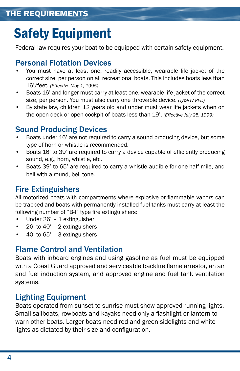# Safety Equipment

Federal law requires your boat to be equipped with certain safety equipment.

### Personal Flotation Devices

- You must have at least one, readily accessible, wearable life jacket of the correct size, per person on all recreational boats. This includes boats less than 16'/feet. *(Effective May 1, 1995)* •
- Boats 16' and longer must carry at least one, wearable life jacket of the correct size, per person. You must also carry one throwable device. *(Type IV PFD)* •
- By state law, children 12 years old and under must wear life jackets when on the open deck or open cockpit of boats less than 19'. *(Effective July 25, 1999)* •

### Sound Producing Devices

- Boats under 16' are not required to carry a sound producing device, but some type of horn or whistle is recommended. •
- Boats 16' to 39' are required to carry a device capable of efficiently producing sound, e.g., horn, whistle, etc. •
- Boats 39' to 65' are required to carry a whistle audible for one-half mile, and bell with a round, bell tone. •

### Fire Extinguishers

All motorized boats with compartments where explosive or flammable vapors can be trapped and boats with permanently installed fuel tanks must carry at least the following number of "B-I" type fire extinguishers:

- Under 26' 1 extinguisher •
- 26' to 40' 2 extinguishers •
- 40' to 65' 3 extinguishers •

### Flame Control and Ventilation

Boats with inboard engines and using gasoline as fuel must be equipped with a Coast Guard approved and serviceable backfire flame arrestor, an air and fuel induction system, and approved engine and fuel tank ventilation systems.

### Lighting Equipment

Boats operated from sunset to sunrise must show approved running lights. Small sailboats, rowboats and kayaks need only a flashlight or lantern to warn other boats. Larger boats need red and green sidelights and white lights as dictated by their size and configuration.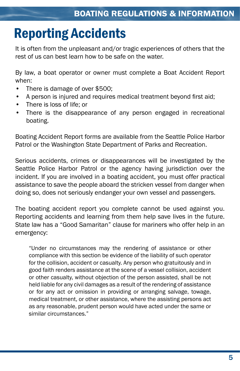# Reporting Accidents

It is often from the unpleasant and/or tragic experiences of others that the rest of us can best learn how to be safe on the water.

By law, a boat operator or owner must complete a Boat Accident Report when:

- There is damage of over \$500; •
- A person is injured and requires medical treatment beyond first aid; •
- There is loss of life; or •
- There is the disappearance of any person engaged in recreational boating. •

Boating Accident Report forms are available from the Seattle Police Harbor Patrol or the Washington State Department of Parks and Recreation.

Serious accidents, crimes or disappearances will be investigated by the Seattle Police Harbor Patrol or the agency having jurisdiction over the incident. If you are involved in a boating accident, you must offer practical assistance to save the people aboard the stricken vessel from danger when doing so, does not seriously endanger your own vessel and passengers.

The boating accident report you complete cannot be used against you. Reporting accidents and learning from them help save lives in the future. State law has a "Good Samaritan" clause for mariners who offer help in an emergency:

"Under no circumstances may the rendering of assistance or other compliance with this section be evidence of the liability of such operator for the collision, accident or casualty. Any person who gratuitously and in good faith renders assistance at the scene of a vessel collision, accident or other casualty, without objection of the person assisted, shall be not held liable for any civil damages as a result of the rendering of assistance or for any act or omission in providing or arranging salvage, towage, medical treatment, or other assistance, where the assisting persons act as any reasonable, prudent person would have acted under the same or similar circumstances."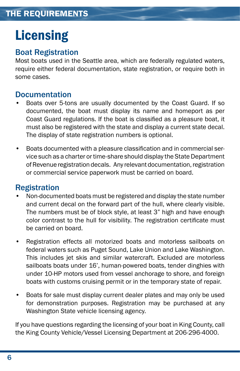# **Licensing**

#### Boat Registration

Most boats used in the Seattle area, which are federally regulated waters, require either federal documentation, state registration, or require both in some cases.

#### Documentation

- Boats over 5-tons are usually documented by the Coast Guard. If so documented, the boat must display its name and homeport as per Coast Guard regulations. If the boat is classified as a pleasure boat, it must also be registered with the state and display a current state decal. The display of state registration numbers is optional. •
- Boats documented with a pleasure classification and in commercial service such as a charter or time-share should display the State Department of Revenue registration decals. Any relevant documentation, registration or commercial service paperwork must be carried on board. •

#### Registration

- Non-documented boats must be registered and display the state number and current decal on the forward part of the hull, where clearly visible. The numbers must be of block style, at least 3" high and have enough color contrast to the hull for visibility. The registration certificate must be carried on board. •
- Registration effects all motorized boats and motorless sailboats on federal waters such as Puget Sound, Lake Union and Lake Washington. This includes jet skis and similar watercraft. Excluded are motorless sailboats boats under 16', human-powered boats, tender dinghies with under 10-HP motors used from vessel anchorage to shore, and foreign boats with customs cruising permit or in the temporary state of repair. •
- Boats for sale must display current dealer plates and may only be used for demonstration purposes. Registration may be purchased at any Washington State vehicle licensing agency. •

If you have questions regarding the licensing of your boat in King County, call the King County Vehicle/Vessel Licensing Department at 206-296-4000.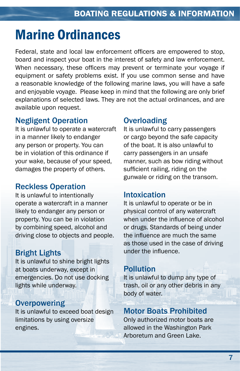# Marine Ordinances

Federal, state and local law enforcement officers are empowered to stop, board and inspect your boat in the interest of safety and law enforcement. When necessary, these officers may prevent or terminate your voyage if equipment or safety problems exist. If you use common sense and have a reasonable knowledge of the following marine laws, you will have a safe and enjoyable voyage. Please keep in mind that the following are only brief explanations of selected laws. They are not the actual ordinances, and are available upon request.

#### Negligent Operation

It is unlawful to operate a watercraft in a manner likely to endanger any person or property. You can be in violation of this ordinance if your wake, because of your speed, damages the property of others.

#### Reckless Operation

It is unlawful to intentionally operate a watercraft in a manner likely to endanger any person or property. You can be in violation by combining speed, alcohol and driving close to objects and people.

### Bright Lights

It is unlawful to shine bright lights at boats underway, except in emergencies. Do not use docking lights while underway.

#### **Overpowering**

It is unlawful to exceed boat design limitations by using oversize engines.

### **Overloading**

It is unlawful to carry passengers or cargo beyond the safe capacity of the boat. It is also unlawful to carry passengers in an unsafe manner, such as bow riding without sufficient railing, riding on the gunwale or riding on the transom.

#### Intoxication

It is unlawful to operate or be in physical control of any watercraft when under the influence of alcohol or drugs. Standards of being under the influence are much the same as those used in the case of driving under the influence.

### Pollution

It is unlawful to dump any type of trash, oil or any other debris in any body of water.

### Motor Boats Prohibited

Only authorized motor boats are allowed in the Washington Park Arboretum and Green Lake.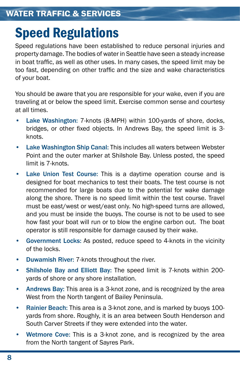# Speed Regulations

Speed regulations have been established to reduce personal injuries and property damage. The bodies of water in Seattle have seen a steady increase in boat traffic, as well as other uses. In many cases, the speed limit may be too fast, depending on other traffic and the size and wake characteristics of your boat.

You should be aware that you are responsible for your wake, even if you are traveling at or below the speed limit. Exercise common sense and courtesy at all times.

- Lake Washington: 7-knots (8-MPH) within 100-yards of shore, docks, bridges, or other fixed objects. In Andrews Bay, the speed limit is 3 knots. •
- Lake Washington Ship Canal: This includes all waters between Webster Point and the outer marker at Shilshole Bay. Unless posted, the speed limit is 7-knots. •
- Lake Union Test Course: This is a daytime operation course and is designed for boat mechanics to test their boats. The test course is not recommended for large boats due to the potential for wake damage along the shore. There is no speed limit within the test course. Travel must be east/west or west/east only. No high-speed turns are allowed, and you must be inside the buoys. The course is not to be used to see how fast your boat will run or to blow the engine carbon out. The boat operator is still responsible for damage caused by their wake. •
- Government Locks: As posted, reduce speed to 4-knots in the vicinity of the locks. •
- Duwamish River: 7-knots throughout the river. •
- Shilshole Bay and Elliott Bay: The speed limit is 7-knots within 200 yards of shore or any shore installation. •
- Andrews Bay: This area is a 3-knot zone, and is recognized by the area West from the North tangent of Bailey Peninsula. •
- Rainier Beach: This area is a 3-knot zone, and is marked by buoys 100 yards from shore. Roughly, it is an area between South Henderson and South Carver Streets if they were extended into the water. •
- Wetmore Cove: This is a 3-knot zone, and is recognized by the area from the North tangent of Sayres Park. •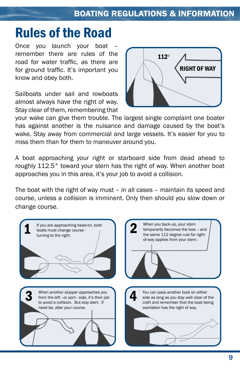# Rules of the Road

Once you launch your boat remember there are rules of the road for water traffic, as there are for ground traffic. It's important you know and obey both.

Sailboats under sail and rowboats almost always have the right of way. Stay clear of them, remembering that



your wake can give them trouble. The largest single complaint one boater has against another is the nuisance and damage caused by the boat's wake. Stay away from commercial and large vessels. It's easier for you to miss them than for them to maneuver around you.

A boat approaching your right or starboard side from dead ahead to roughly 112.5° toward your stern has the right of way. When another boat approaches you in this area, it's your job to avoid a collision.

The boat with the right of way must – in all cases – maintain its speed and course, unless a collision is imminent. Only then should you slow down or change course.

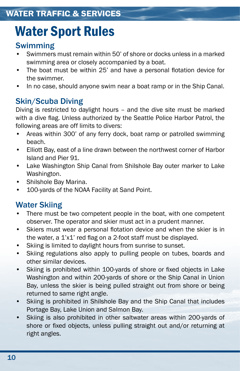# Water Sport Rules

### Swimming

- Swimmers must remain within 50' of shore or docks unless in a marked swimming area or closely accompanied by a boat. •
- The boat must be within 25' and have a personal flotation device for the swimmer. •
- In no case, should anyone swim near a boat ramp or in the Ship Canal. •

### Skin/Scuba Diving

Diving is restricted to daylight hours – and the dive site must be marked with a dive flag. Unless authorized by the Seattle Police Harbor Patrol, the following areas are off limits to divers:

- Areas within 300' of any ferry dock, boat ramp or patrolled swimming beach. •
- Elliott Bay, east of a line drawn between the northwest corner of Harbor Island and Pier 91. •
- Lake Washington Ship Canal from Shilshole Bay outer marker to Lake Washington. •
- Shilshole Bay Marina. •
- 100-yards of the NOAA Facility at Sand Point. •

### Water Skiing

- There must be two competent people in the boat, with one competent observer. The operator and skier must act in a prudent manner. •
- Skiers must wear a personal flotation device and when the skier is in the water, a 1'x1' red flag on a 2-foot staff must be displayed. •
- Skiing is limited to daylight hours from sunrise to sunset. •
- Skiing regulations also apply to pulling people on tubes, boards and other similar devices. •
- Skiing is prohibited within 100-yards of shore or fixed objects in Lake Washington and within 200-yards of shore or the Ship Canal in Union Bay, unless the skier is being pulled straight out from shore or being returned to same right angle. •
- Skiing is prohibited in Shilshole Bay and the Ship Canal that includes Portage Bay, Lake Union and Salmon Bay. •
- Skiing is also prohibited in other saltwater areas within 200-yards of shore or fixed objects, unless pulling straight out and/or returning at right angles. •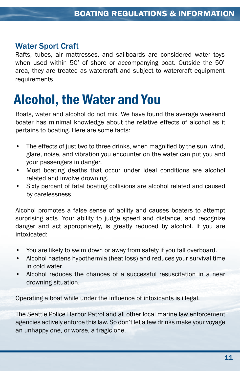#### Water Sport Craft

Rafts, tubes, air mattresses, and sailboards are considered water toys when used within 50' of shore or accompanying boat. Outside the 50' area, they are treated as watercraft and subject to watercraft equipment requirements.

# Alcohol, the Water and You

Boats, water and alcohol do not mix. We have found the average weekend boater has minimal knowledge about the relative effects of alcohol as it pertains to boating. Here are some facts:

- The effects of just two to three drinks, when magnified by the sun, wind, glare, noise, and vibration you encounter on the water can put you and your passengers in danger. •
- Most boating deaths that occur under ideal conditions are alcohol related and involve drowning. •
- Sixty percent of fatal boating collisions are alcohol related and caused by carelessness. •

Alcohol promotes a false sense of ability and causes boaters to attempt surprising acts. Your ability to judge speed and distance, and recognize danger and act appropriately, is greatly reduced by alcohol. If you are intoxicated:

- You are likely to swim down or away from safety if you fall overboard. •
- Alcohol hastens hypothermia (heat loss) and reduces your survival time in cold water. •
- Alcohol reduces the chances of a successful resuscitation in a near drowning situation. •

Operating a boat while under the influence of intoxicants is illegal.

The Seattle Police Harbor Patrol and all other local marine law enforcement agencies actively enforce this law. So don't let a few drinks make your voyage an unhappy one, or worse, a tragic one.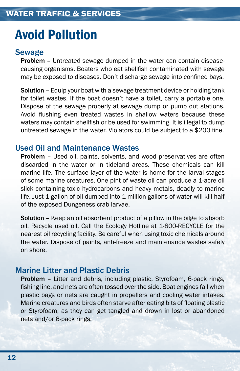# Avoid Pollution

#### Sewage

Problem – Untreated sewage dumped in the water can contain diseasecausing organisms. Boaters who eat shellfish contaminated with sewage may be exposed to diseases. Don't discharge sewage into confined bays.

Solution – Equip your boat with a sewage treatment device or holding tank for toilet wastes. If the boat doesn't have a toilet, carry a portable one. Dispose of the sewage properly at sewage dump or pump out stations. Avoid flushing even treated wastes in shallow waters because these waters may contain shellfish or be used for swimming. It is illegal to dump untreated sewage in the water. Violators could be subject to a \$200 fine.

#### Used Oil and Maintenance Wastes

Problem - Used oil, paints, solvents, and wood preservatives are often discarded in the water or in tideland areas. These chemicals can kill marine life. The surface layer of the water is home for the larval stages of some marine creatures. One pint of waste oil can produce a 1-acre oil slick containing toxic hydrocarbons and heavy metals, deadly to marine life. Just 1-gallon of oil dumped into 1 million-gallons of water will kill half of the exposed Dungeness crab larvae.

Solution – Keep an oil absorbent product of a pillow in the bilge to absorb oil. Recycle used oil. Call the Ecology Hotline at 1-800-RECYCLE for the nearest oil recycling facility. Be careful when using toxic chemicals around the water. Dispose of paints, anti-freeze and maintenance wastes safely on shore.

#### Marine Litter and Plastic Debris

Problem – Litter and debris, including plastic, Styrofoam, 6-pack rings, fishing line, and nets are often tossed over the side. Boat engines fail when plastic bags or nets are caught in propellers and cooling water intakes. Marine creatures and birds often starve after eating bits of floating plastic or Styrofoam, as they can get tangled and drown in lost or abandoned nets and/or 6-pack rings.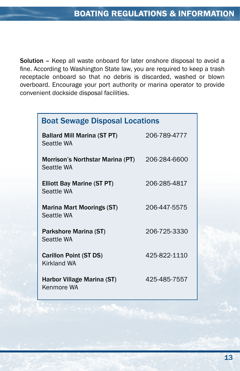Solution – Keep all waste onboard for later onshore disposal to avoid a fine. According to Washington State law, you are required to keep a trash receptacle onboard so that no debris is discarded, washed or blown overboard. Encourage your port authority or marina operator to provide convenient dockside disposal facilities.

| <b>Boat Sewage Disposal Locations</b>            |              |
|--------------------------------------------------|--------------|
| <b>Ballard Mill Marina (ST PT)</b><br>Seattle WA | 206-789-4777 |
| Morrison's Northstar Marina (PT)<br>Seattle WA   | 206-284-6600 |
| <b>Elliott Bay Marine (ST PT)</b><br>Seattle WA  | 206-285-4817 |
| <b>Marina Mart Moorings (ST)</b><br>Seattle WA   | 206-447-5575 |
| Parkshore Marina (ST)<br>Seattle WA              | 206-725-3330 |
| <b>Carillon Point (ST DS)</b><br>Kirkland WA     | 425-822-1110 |
| Harbor Village Marina (ST)<br>Kenmore WA         | 425-485-7557 |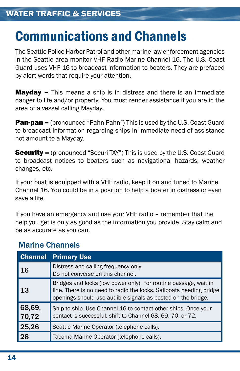# Communications and Channels

The Seattle Police Harbor Patrol and other marine law enforcement agencies in the Seattle area monitor VHF Radio Marine Channel 16. The U.S. Coast Guard uses VHF 16 to broadcast information to boaters. They are prefaced by alert words that require your attention.

**Mayday –** This means a ship is in distress and there is an immediate danger to life and/or property. You must render assistance if you are in the area of a vessel calling Mayday.

**Pan-pan –** (pronounced "Pahn-Pahn") This is used by the U.S. Coast Guard to broadcast information regarding ships in immediate need of assistance not amount to a Mayday.

**Security –** (pronounced "Securi-TAY") This is used by the U.S. Coast Guard to broadcast notices to boaters such as navigational hazards, weather changes, etc.

If your boat is equipped with a VHF radio, keep it on and tuned to Marine Channel 16. You could be in a position to help a boater in distress or even save a life.

If you have an emergency and use your VHF radio – remember that the help you get is only as good as the information you provide. Stay calm and be as accurate as you can.

|                 | <b>Channel Primary Use</b>                                                                                                                                                                              |
|-----------------|---------------------------------------------------------------------------------------------------------------------------------------------------------------------------------------------------------|
| 16              | Distress and calling frequency only.<br>Do not converse on this channel.                                                                                                                                |
| 13              | Bridges and locks (low power only). For routine passage, wait in<br>line. There is no need to radio the locks. Sailboats needing bridge<br>openings should use audible signals as posted on the bridge. |
| 68,69,<br>70,72 | Ship-to-ship. Use Channel 16 to contact other ships. Once your<br>contact is successful, shift to Channel 68, 69, 70, or 72.                                                                            |
| 25,26           | Seattle Marine Operator (telephone calls).                                                                                                                                                              |
| 28              | Tacoma Marine Operator (telephone calls).                                                                                                                                                               |

#### Marine Channels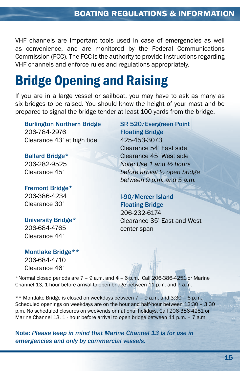VHF channels are important tools used in case of emergencies as well as convenience, and are monitored by the Federal Communications Commission (FCC). The FCC is the authority to provide instructions regarding VHF channels and enforce rules and regulations appropriately.

# Bridge Opening and Raising

If you are in a large vessel or sailboat, you may have to ask as many as six bridges to be raised. You should know the height of your mast and be prepared to signal the bridge tender at least 100-yards from the bridge.

Burlington Northern Bridge 206-784-2976 Clearance 43' at high tide

Ballard Bridge\* 206-282-9525 Clearance 45'

Fremont Bridge\* 206-386-4234 Clearance 30'

University Bridge\* 206-684-4765 Clearance 44'

Montlake Bridge\*\* 206-684-4710 Clearance 46'

SR 520/Evergreen Point Floating Bridge 425-453-3073 Clearance 54' East side Clearance 45' West side *Note: Use 1 and ½ hours before arrival to open bridge between 9 p.m. and 5 a.m.*

I-90/Mercer Island Floating Bridge 206-232-6174 Clearance 35' East and West center span

\*Normal closed periods are  $7 - 9$  a.m. and  $4 - 6$  p.m. Call 206-386-4251 or Marine Channel 13, 1-hour before arrival to open bridge between 11 p.m. and 7 a.m.

\*\* Montlake Bridge is closed on weekdays between 7 – 9 a.m. and 3:30 – 6 p.m. Scheduled openings on weekdays are on the hour and half-hour between 12:30 – 3:30 p.m. No scheduled closures on weekends or national holidays. Call 206-386-4251 or Marine Channel 13, 1 - hour before arrival to open bridge between 11 p.m. – 7 a.m.

Note: *Please keep in mind that Marine Channel 13 is for use in emergencies and only by commercial vessels.*

**RAIL**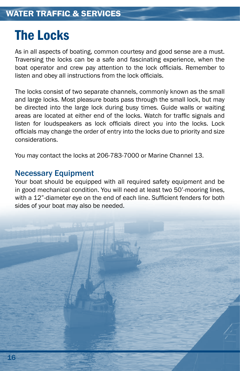## The Locks

As in all aspects of boating, common courtesy and good sense are a must. Traversing the locks can be a safe and fascinating experience, when the boat operator and crew pay attention to the lock officials. Remember to listen and obey all instructions from the lock officials.

The locks consist of two separate channels, commonly known as the small and large locks. Most pleasure boats pass through the small lock, but may be directed into the large lock during busy times. Guide walls or waiting areas are located at either end of the locks. Watch for traffic signals and listen for loudspeakers as lock officials direct you into the locks. Lock officials may change the order of entry into the locks due to priority and size considerations.

You may contact the locks at 206-783-7000 or Marine Channel 13.

#### Necessary Equipment

Your boat should be equipped with all required safety equipment and be in good mechanical condition. You will need at least two 50'-mooring lines, with a 12"-diameter eye on the end of each line. Sufficient fenders for both sides of your boat may also be needed.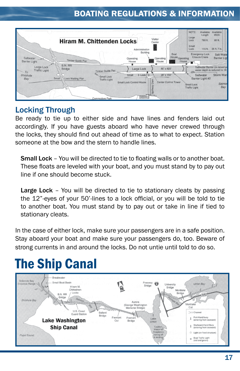### **BOATING REGULATIONS & INFORMATION**



### Locking Through

Be ready to tie up to either side and have lines and fenders laid out accordingly. If you have guests aboard who have never crewed through the locks, they should find out ahead of time as to what to expect. Station someone at the bow and the stern to handle lines.

Small Lock – You will be directed to tie to floating walls or to another boat. These floats are leveled with your boat, and you must stand by to pay out line if one should become stuck.

Large Lock – You will be directed to tie to stationary cleats by passing the 12"-eyes of your 50'-lines to a lock official, or you will be told to tie to another boat. You must stand by to pay out or take in line if tied to stationary cleats.

In the case of either lock, make sure your passengers are in a safe position. Stay aboard your boat and make sure your passengers do, too. Beware of strong currents in and around the locks. Do not untie until told to do so.

# The Ship Canal

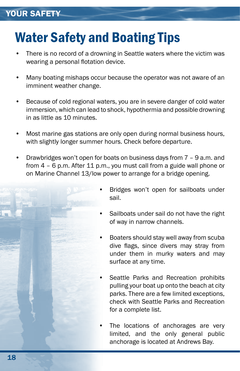# Water Safety and Boating Tips

- There is no record of a drowning in Seattle waters where the victim was wearing a personal flotation device. •
- Many boating mishaps occur because the operator was not aware of an imminent weather change. •
- Because of cold regional waters, you are in severe danger of cold water immersion, which can lead to shock, hypothermia and possible drowning in as little as 10 minutes. •
- Most marine gas stations are only open during normal business hours, with slightly longer summer hours. Check before departure. •
- Drawbridges won't open for boats on business days from 7 9 a.m. and from 4 – 6 p.m. After 11 p.m., you must call from a guide wall phone or on Marine Channel 13/low power to arrange for a bridge opening. •
	- Bridges won't open for sailboats under sail. •
	- Sailboats under sail do not have the right of way in narrow channels. •
	- Boaters should stay well away from scuba dive flags, since divers may stray from under them in murky waters and may surface at any time. •
	- Seattle Parks and Recreation prohibits pulling your boat up onto the beach at city parks. There are a few limited exceptions, check with Seattle Parks and Recreation for a complete list. •
	- The locations of anchorages are very limited, and the only general public anchorage is located at Andrews Bay. •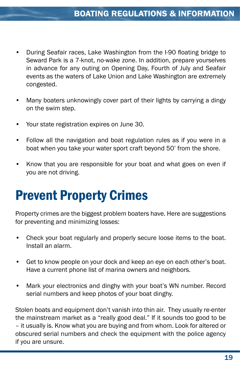- During Seafair races, Lake Washington from the I-90 floating bridge to Seward Park is a 7-knot, no-wake zone. In addition, prepare yourselves in advance for any outing on Opening Day, Fourth of July and Seafair events as the waters of Lake Union and Lake Washington are extremely congested. •
- Many boaters unknowingly cover part of their lights by carrying a dingy on the swim step. •
- Your state registration expires on June 30. •
- Follow all the navigation and boat regulation rules as if you were in a boat when you take your water sport craft beyond 50' from the shore. •
- Know that you are responsible for your boat and what goes on even if you are not driving. •

# Prevent Property Crimes

Property crimes are the biggest problem boaters have. Here are suggestions for preventing and minimizing losses:

- Check your boat regularly and properly secure loose items to the boat. Install an alarm. •
- Get to know people on your dock and keep an eye on each other's boat. Have a current phone list of marina owners and neighbors. •
- Mark your electronics and dinghy with your boat's WN number. Record serial numbers and keep photos of your boat dinghy. •

Stolen boats and equipment don't vanish into thin air. They usually re-enter the mainstream market as a "really good deal." If it sounds too good to be – it usually is. Know what you are buying and from whom. Look for altered or obscured serial numbers and check the equipment with the police agency if you are unsure.